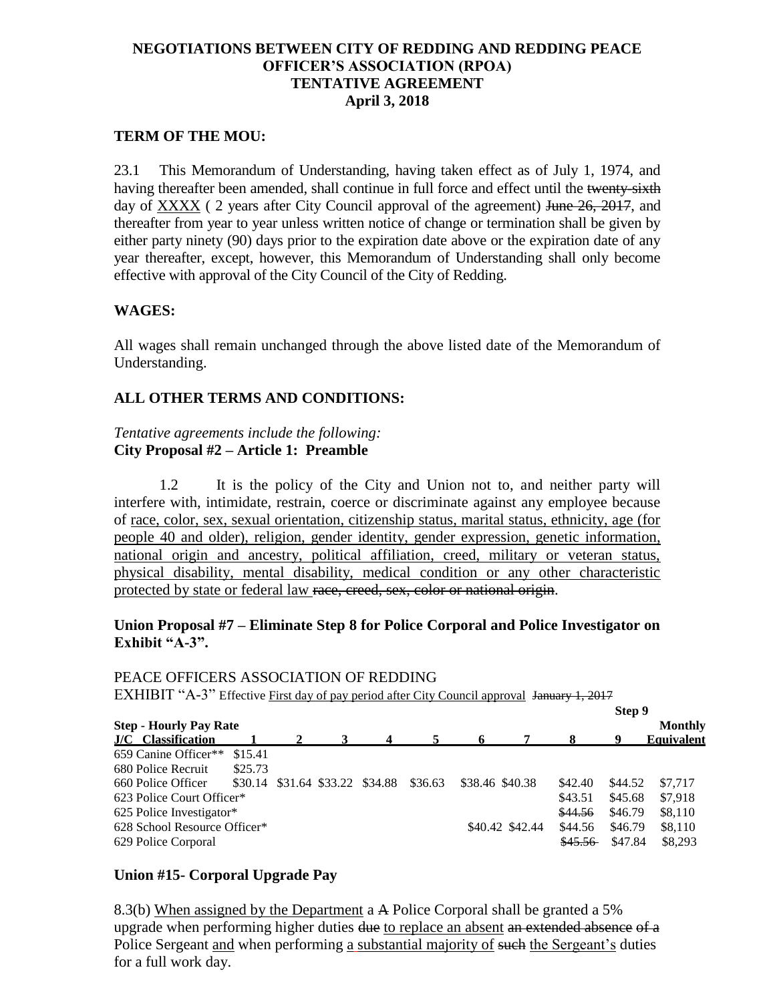## **NEGOTIATIONS BETWEEN CITY OF REDDING AND REDDING PEACE OFFICER'S ASSOCIATION (RPOA) TENTATIVE AGREEMENT April 3, 2018**

### **TERM OF THE MOU:**

23.1 This Memorandum of Understanding, having taken effect as of July 1, 1974, and having thereafter been amended, shall continue in full force and effect until the twenty-sixth day of XXXX (2 years after City Council approval of the agreement) June 26, 2017, and thereafter from year to year unless written notice of change or termination shall be given by either party ninety (90) days prior to the expiration date above or the expiration date of any year thereafter, except, however, this Memorandum of Understanding shall only become effective with approval of the City Council of the City of Redding.

#### **WAGES:**

All wages shall remain unchanged through the above listed date of the Memorandum of Understanding.

## **ALL OTHER TERMS AND CONDITIONS:**

### *Tentative agreements include the following:*  **City Proposal #2 – Article 1: Preamble**

1.2 It is the policy of the City and Union not to, and neither party will interfere with, intimidate, restrain, coerce or discriminate against any employee because of race, color, sex, sexual orientation, citizenship status, marital status, ethnicity, age (for people 40 and older), religion, gender identity, gender expression, genetic information, national origin and ancestry, political affiliation, creed, military or veteran status, physical disability, mental disability, medical condition or any other characteristic protected by state or federal law race, creed, sex, color or national origin.

#### **Union Proposal #7 – Eliminate Step 8 for Police Corporal and Police Investigator on Exhibit "A-3".**

# PEACE OFFICERS ASSOCIATION OF REDDING EXHIBIT "A-3" Effective First day of pay period after City Council approval January 1, 2017

|                               |         |  |                                 |  |         |                 |                 | Step 9  |         |                   |
|-------------------------------|---------|--|---------------------------------|--|---------|-----------------|-----------------|---------|---------|-------------------|
| <b>Step - Hourly Pay Rate</b> |         |  |                                 |  |         |                 |                 |         |         | <b>Monthly</b>    |
| <b>J/C</b> Classification     |         |  |                                 |  |         |                 |                 |         |         | <b>Equivalent</b> |
| 659 Canine Officer**          | \$15.41 |  |                                 |  |         |                 |                 |         |         |                   |
| 680 Police Recruit            | \$25.73 |  |                                 |  |         |                 |                 |         |         |                   |
| 660 Police Officer            |         |  | \$30.14 \$31.64 \$33.22 \$34.88 |  | \$36.63 |                 | \$38.46 \$40.38 | \$42.40 | \$44.52 | \$7,717           |
| 623 Police Court Officer*     |         |  |                                 |  |         |                 |                 | \$43.51 | \$45.68 | \$7.918           |
| 625 Police Investigator*      |         |  |                                 |  |         |                 | \$44.56         | \$46.79 | \$8,110 |                   |
| 628 School Resource Officer*  |         |  |                                 |  |         | \$40.42 \$42.44 | \$44.56         | \$46.79 | \$8,110 |                   |
| 629 Police Corporal           |         |  |                                 |  |         |                 |                 | \$45.56 | \$47.84 | \$8.293           |

## **Union #15- Corporal Upgrade Pay**

8.3(b) When assigned by the Department a A Police Corporal shall be granted a 5% upgrade when performing higher duties due to replace an absent an extended absence of a Police Sergeant and when performing a substantial majority of such the Sergeant's duties for a full work day.